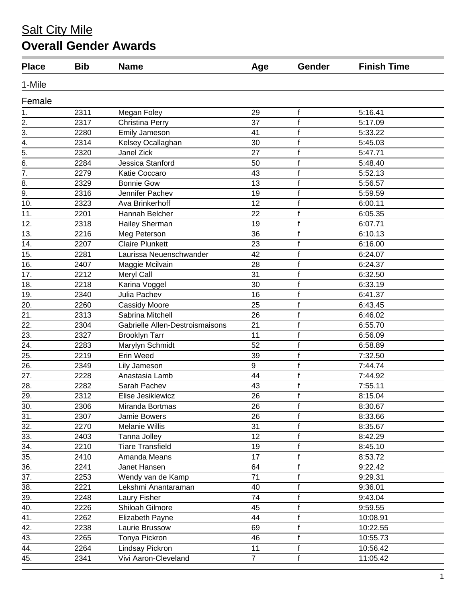## **Salt City Mile Overall Gender Awards**

| <b>Place</b>     | <b>Bib</b> | <b>Name</b>                     | Age              | Gender       | <b>Finish Time</b> |
|------------------|------------|---------------------------------|------------------|--------------|--------------------|
| 1-Mile           |            |                                 |                  |              |                    |
| Female           |            |                                 |                  |              |                    |
| 1.               | 2311       | Megan Foley                     | 29               | f            | 5:16.41            |
| 2.               | 2317       | Christina Perry                 | 37               | f            | 5:17.09            |
| 3.               | 2280       | <b>Emily Jameson</b>            | 41               | $\mathsf{f}$ | 5:33.22            |
| 4.               | 2314       | Kelsey Ocallaghan               | 30               | f            | 5:45.03            |
| $\overline{5}$ . | 2320       | Janel Zick                      | 27               | f            | 5:47.71            |
| $\overline{6}$   | 2284       | Jessica Stanford                | 50               | f            | 5:48.40            |
| $\overline{7}$ . | 2279       | Katie Coccaro                   | 43               | f            | 5:52.13            |
| 8.               | 2329       | <b>Bonnie Gow</b>               | 13               | f            | 5:56.57            |
| 9.               | 2316       | Jennifer Pachev                 | 19               |              | 5:59.59            |
| 10.              | 2323       | Ava Brinkerhoff                 | 12               | f            | 6:00.11            |
| 11.              | 2201       | Hannah Belcher                  | 22               | f            | 6:05.35            |
| 12.              | 2318       | Hailey Sherman                  | 19               | f            | 6:07.71            |
| 13.              | 2216       | Meg Peterson                    | 36               | f            | 6:10.13            |
| 14.              | 2207       | <b>Claire Plunkett</b>          | 23               | f            | 6:16.00            |
| 15.              | 2281       | Laurissa Neuenschwander         | 42               | f            | 6:24.07            |
| 16.              | 2407       | Maggie Mcilvain                 | 28               | f            | 6:24.37            |
| 17.              | 2212       | Meryl Call                      | 31               | f            | 6:32.50            |
| 18.              | 2218       | Karina Voggel                   | 30               | f            | 6:33.19            |
| 19.              | 2340       | Julia Pachev                    | 16               | f            | 6:41.37            |
| 20.              | 2260       | <b>Cassidy Moore</b>            | 25               | f            | 6:43.45            |
| 21.              | 2313       | Sabrina Mitchell                | 26               | f            | 6:46.02            |
| 22.              | 2304       | Gabrielle Allen-Destroismaisons | 21               | f            | 6:55.70            |
| 23.              | 2327       | <b>Brooklyn Tarr</b>            | 11               | f            | 6:56.09            |
| 24.              | 2283       | Marylyn Schmidt                 | 52               | f            | 6:58.89            |
| 25.              | 2219       | Erin Weed                       | 39               | f            | 7:32.50            |
| 26.              | 2349       | Lily Jameson                    | $\boldsymbol{9}$ | $\mathsf{f}$ | 7:44.74            |
| 27.              | 2228       | Anastasia Lamb                  | 44               | f            | 7:44.92            |
| 28.              | 2282       | Sarah Pachev                    | 43               | f            | 7:55.11            |
| 29.              | 2312       | Elise Jesikiewicz               | 26               | f            | 8:15.04            |
| 30.              | 2306       | Miranda Bortmas                 | 26               | f            | 8:30.67            |
| 31.              | 2307       | Jamie Bowers                    | 26               | f            | 8:33.66            |
| 32.              | 2270       | Melanie Willis                  | 31               |              | 8:35.67            |
| 33.              | 2403       | Tanna Jolley                    | 12               | f            | 8:42.29            |
| 34.              | 2210       | <b>Tiare Transfield</b>         | 19               | f            | 8:45.10            |
| 35.              | 2410       | Amanda Means                    | 17               |              | 8:53.72            |
| 36.              | 2241       | Janet Hansen                    | 64               | f            | 9:22.42            |
| 37.              | 2253       | Wendy van de Kamp               | 71               | f            | 9:29.31            |
| 38.              | 2221       | Lekshmi Anantaraman             | 40               | f            | 9:36.01            |
| 39.              | 2248       | Laury Fisher                    | 74               | f            | 9:43.04            |
| 40.              | 2226       | Shiloah Gilmore                 | 45               | f            | 9:59.55            |
| 41.              | 2262       | Elizabeth Payne                 | 44               |              | 10:08.91           |
| 42.              | 2238       | Laurie Brussow                  | 69               | f            | 10:22.55           |
| 43.              | 2265       | Tonya Pickron                   | 46               | f            | 10:55.73           |
| 44.              | 2264       | Lindsay Pickron                 | 11               | f            | 10:56.42           |
| 45.              | 2341       | Vivi Aaron-Cleveland            | $\overline{7}$   | f            | 11:05.42           |
|                  |            |                                 |                  |              |                    |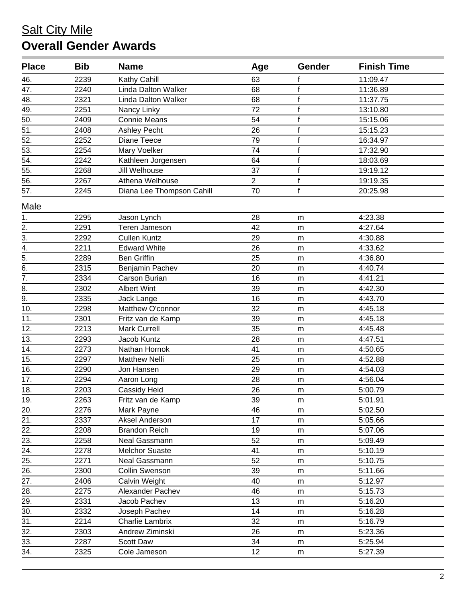## **Salt City Mile Overall Gender Awards**

| <b>Place</b>                       | <b>Bib</b> | <b>Name</b>                | Age             | Gender       | <b>Finish Time</b> |
|------------------------------------|------------|----------------------------|-----------------|--------------|--------------------|
| 46.                                | 2239       | Kathy Cahill               | 63              | f            | 11:09.47           |
| 47.                                | 2240       | <b>Linda Dalton Walker</b> | 68              | f            | 11:36.89           |
| 48.                                | 2321       | <b>Linda Dalton Walker</b> | 68              | $\mathsf f$  | 11:37.75           |
| 49.                                | 2251       | Nancy Linky                | 72              | f            | 13:10.80           |
| $\overline{50}$ .                  | 2409       | <b>Connie Means</b>        | $\overline{54}$ | $\mathsf{f}$ | 15:15.06           |
| $\overline{51}$ .                  | 2408       | <b>Ashley Pecht</b>        | 26              | f            | 15:15.23           |
| 52.                                | 2252       | Diane Teece                | 79              | f            | 16:34.97           |
| 53.                                | 2254       | Mary Voelker               | 74              | $\mathsf f$  | 17:32.90           |
| $\overline{54}$ .                  | 2242       | Kathleen Jorgensen         | 64              | $\mathsf f$  | 18:03.69           |
| 55.                                | 2268       | Jill Welhouse              | 37              | $\mathsf f$  | 19:19.12           |
| 56.                                | 2267       | Athena Welhouse            | $\overline{2}$  | f            | 19:19.35           |
| 57.                                | 2245       | Diana Lee Thompson Cahill  | 70              | $\mathsf{f}$ | 20:25.98           |
| Male                               |            |                            |                 |              |                    |
| 1.                                 | 2295       | Jason Lynch                | 28              | m            | 4:23.38            |
| 2.                                 | 2291       | Teren Jameson              | 42              | m            | 4:27.64            |
| $\overline{3}$ .                   | 2292       | <b>Cullen Kuntz</b>        | 29              | m            | 4:30.88            |
|                                    | 2211       | <b>Edward White</b>        | 26              | m            | 4:33.62            |
| $\frac{4}{5}$ .<br>$\frac{5}{6}$ . | 2289       | <b>Ben Griffin</b>         | 25              | ${\sf m}$    | 4:36.80            |
|                                    | 2315       | Benjamin Pachev            | 20              | m            | 4:40.74            |
| $\overline{7}$ .                   | 2334       | Carson Burian              | 16              | m            | 4:41.21            |
| 8.                                 | 2302       | <b>Albert Wint</b>         | 39              | m            | 4:42.30            |
| $\overline{9}$ .                   | 2335       | Jack Lange                 | 16              | m            | 4:43.70            |
| 10.                                | 2298       | Matthew O'connor           | 32              | m            | 4:45.18            |
| 11.                                | 2301       | Fritz van de Kamp          | 39              | m            | 4:45.18            |
| 12.                                | 2213       | <b>Mark Currell</b>        | 35              | m            | 4:45.48            |
| 13.                                | 2293       | Jacob Kuntz                | 28              | ${\sf m}$    | 4:47.51            |
| 14.                                | 2273       | Nathan Hornok              | 41              | m            | 4:50.65            |
| 15.                                | 2297       | <b>Matthew Nelli</b>       | 25              | m            | 4:52.88            |
| 16.                                | 2290       | Jon Hansen                 | 29              | m            | 4:54.03            |
| 17.                                | 2294       | Aaron Long                 | 28              | m            | 4:56.04            |
| 18.                                | 2203       | Cassidy Heid               | 26              | ${\sf m}$    | 5:00.79            |
| 19.                                | 2263       | Fritz van de Kamp          | 39              | m            | 5:01.91            |
| 20.                                | 2276       | Mark Payne                 | 46              | m            | 5:02.50            |
| 21.                                | 2337       | Aksel Anderson             | 17              | m            | 5:05.66            |
| 22.                                | 2208       | <b>Brandon Reich</b>       | 19              | m            | 5:07.06            |
| $\overline{23}$ .                  | 2258       | Neal Gassmann              | 52              | m            | 5:09.49            |
| 24.                                | 2278       | <b>Melchor Suaste</b>      | 41              | m            | 5:10.19            |
| 25.                                | 2271       | Neal Gassmann              | 52              | ${\sf m}$    | 5:10.75            |
| 26.                                | 2300       | Collin Swenson             | 39              | m            | 5:11.66            |
| 27.                                | 2406       | Calvin Weight              | 40              | m            | 5:12.97            |
| 28.                                | 2275       | Alexander Pachev           | 46              | m            | 5:15.73            |
| 29.                                | 2331       | Jacob Pachev               | 13              | m            | 5:16.20            |
| 30.                                | 2332       | Joseph Pachev              | 14              | m            | 5:16.28            |
| $\overline{31}$ .                  | 2214       | Charlie Lambrix            | 32              | m            | 5:16.79            |
| 32.                                | 2303       | Andrew Ziminski            | 26              | m            | 5:23.36            |
| 33.                                | 2287       | <b>Scott Daw</b>           | 34              | m            | 5:25.94            |
| 34.                                | 2325       | Cole Jameson               | 12              | m            | 5:27.39            |
|                                    |            |                            |                 |              |                    |